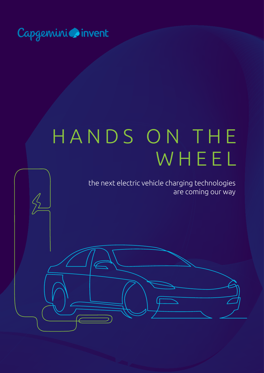

 $\frac{\sqrt{2}}{2}$ 

# HANDS ON THE WHEEL

the next electric vehicle charging technologies are coming our way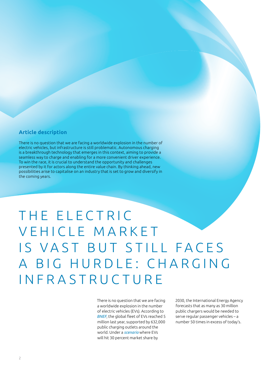#### **Article description**

There is no question that we are facing a worldwide explosion in the number of electric vehicles, but infrastructure is still problematic. Autonomous charging is a breakthrough technology that emerges in this context, aiming to provide a seamless way to charge and enabling for a more convenient driver experience. To win the race, it is crucial to understand the opportunity and challenges presented by it for actors along the entire value chain. By thinking ahead, new possibilities arise to capitalise on an industry that is set to grow and diversify in the coming years.

#### THE ELECTRIC VEHICLE MARKET IS VAST BUT STILL FACES A BIG HURDLE: CHARGING INFRASTRUCTURE

There is no question that we are facing a worldwide explosion in the number of electric vehicles (EVs). According to *[BNEF](https://www.bloomberg.com/news/features/2019-02-14/the-world-still-doesn-t-have-enough-places-to-plug-in-cars)*, the global fleet of EVs reached 5 million last year, supported by 632,000 public charging outlets around the world. Under a *[scenario](https://www.iea.org/newsroom/news/2017/june/new-cem-campaign-aims-for-goal-of-30-new-electric-vehicle-sales-by-2030.html)* where EVs will hit 30 percent market share by

2030, the International Energy Agency forecasts that as many as 30 million public chargers would be needed to serve regular passenger vehicles – a number 50 times in excess of today's.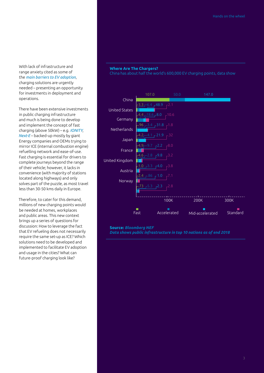With lack of infrastructure and range anxiety cited as some of the *[main barriers to EV adoption](https://www.forbes.com/sites/jeffmcmahon/2019/01/27/the-4-lingering-obstacles-to-electric-vehicle-adoption-and-what-might-overcome-them/#1bcd38bb5c54)*, charging solutions are urgently needed – presenting an opportunity for investments in deployment and operations.

There have been extensive investments in public charging infrastructure and much is being done to develop and implement the concept of fast charging (above 50kW) – e.g. *[IONITY](https://ionity.eu/)*, *[Next-E](https://next-e.eu/)* – backed-up mostly by giant Energy companies and OEMs trying to mirror ICE (internal combustion engine) refuelling network and ease-of-use. Fast charging is essential for drivers to complete journeys beyond the range of their vehicle; however, it lacks in convenience (with majority of stations located along highways) and only solves part of the puzzle, as most travel less than 30-50 kms daily in Europe.

Therefore, to cater for this demand, millions of new charging points would be needed at homes, workplaces and public areas. This new context brings up a series of questions for discussion: How to leverage the fact that EV refueling does not necessarily require the same set-up as ICE? Which solutions need to be developed and implemented to facilitate EV adoption and usage in the cities? What can future-proof charging look like?

#### **Where Are The Chargers?**

China has about half the world's 600,000 EV charging points, data show



**Source:** *[Bloomberg NEF](https://www.bloomberg.com/news/features/2019-02-14/the-world-still-doesn-t-have-enough-places-to-plug-in-cars) Data shows public infrastructure in top 10 nations as of end 2018*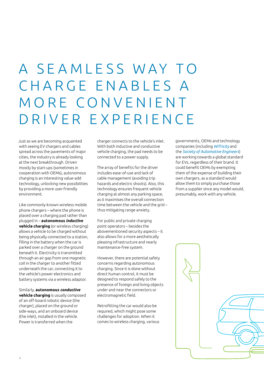## A SEAMLESS WAY TO CHARGE ENABLES A MORE CONVENIENT DRIVER EXPERIENCE

Just as we are becoming acquainted with seeing EV chargers and cables spread across the pavements of major cities, the industry is already looking at the next breakthrough. Driven mostly by start-ups (sometimes in cooperation with OEMs), autonomous charging is an interesting value-add technology, unlocking new possibilities by providing a more user-friendly environment.

Like commonly-known wireless mobile phone chargers – where the phone is placed over a charging pad rather than plugged in – **autonomous** *inductive* **vehicle charging** (or wireless charging) allows a vehicle to be charged without being physically connected to a station, filling in the battery when the car is parked over a charger on the ground beneath it. Electricity is transmitted through an air gap from one magnetic coil in the charger to another fitted underneath the car, connecting it to the vehicle's power electronics and battery systems via a wireless adaptor.

Similarly, **autonomous** *conductive* **vehicle charging** is usually composed of an off-board robotic device (the charger), placed on the ground or side-ways, and an onboard device (the inlet), installed in the vehicle. Power is transferred when the

charger connects to the vehicle's inlet. With both inductive and conductive vehicle charging, the pad needs to be connected to a power supply.

The array of benefits for the driver includes ease-of-use and lack of cable management (avoiding trip hazards and electric shocks). Also, this technology ensures frequent vehicle charging at almost any parking space, as it maximises the overall connection time between the vehicle and the grid – thus mitigating range anxiety.

For public and private charging point operators – besides the abovementioned security aspects – it also allows for a more aesthetically pleasing infrastructure and nearly maintenance-free system.

However, there are potential safety concerns regarding autonomous charging. Since it is done without direct human control, it must be designed to respond safely to the presence of foreign and living objects under and near the connectors or electromagnetic field.

Retrofitting the car would also be required, which might pose some challenges for adoption. When it comes to wireless charging, various

governments, OEMs and technology companies (including *[WiTricity](https://witricity.com/)* and the *[Society of Automotive Engineers](https://www.sae.org/)*) are working towards a global standard for EVs, regardless of their brand. It could benefit OEMs by exempting them of the expense of building their own chargers, as a standard would allow them to simply purchase those from a supplier since any model would, presumably, work with any vehicle.

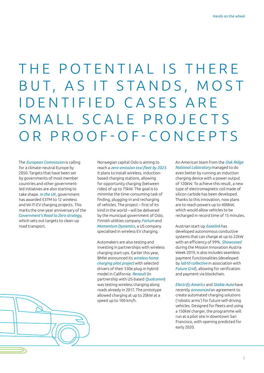### THE POTENTIAL IS THERE BUT, AS IT STANDS, MOST I D E N T I F I E D C A S E S A R E SMALL SCALE PROJECTS OR PROOF-OF-CONCEPTS

The *[European Commission](https://ec.europa.eu/clima/policies/strategies/2050_en)* is calling for a climate-neutral Europe by 2050. Targets that have been set by governments of most member countries and other governmentled initiatives are also starting to take shape. *[In the UK](https://www.fleetnews.co.uk/news/environment/2019/07/09/wireless-and-wifi-ev-charging-projects-receive-government-cash)*, government has awarded £37M to 12 wireless and Wi-Fi EV charging projects. This marks the one-year anniversary of the *[Government's Road to Zero strategy](https://www.gov.uk/government/publications/reducing-emissions-from-road-transport-road-to-zero-strategy)*, which sets out targets to clean-up road transport.

Norwegian capital Oslo is aiming to reach a *[zero-emission taxi fleet by 2023](https://www.theverge.com/2019/3/21/18276541/norway-oslo-wireless-charging-electric-taxis-car-zero-emissions-induction)*. It plans to install wireless, inductionbased charging stations, allowing for opportunity charging (between rides) of up to 75kW. The goal is to minimise the time-consuming task of finding, plugging-in and recharging of vehicles. The project – first of its kind in the world – will be delivered by the municipal government of Oslo, Finnish utilities company *[Fortum](https://www.fortum.com/)* and *[Momentum Dynamics](https://www.momentumdynamics.com/)*, a US company specialised in wireless EV charging.

Automakers are also testing and investing in partnerships with wireless charging start-ups. Earlier this year, BMW announced its *[wireless home](https://www.bmwblog.com/2019/05/31/bmw-wireless-charging-pilot-program-launched-in-california/)  [charging pilot project](https://www.bmwblog.com/2019/05/31/bmw-wireless-charging-pilot-program-launched-in-california/)* with selected drivers of their 530e plug-in hybrid model in California. *[Renault](https://www.greencarreports.com/news/1110571_renault-qualcomm-show-off-electric-car-road-charging-at-60-mph)* (in partnership with US-based *[Qualcomm](https://www.qualcomm.com/)*) was testing wireless charging along roads already in 2017. The prototype allowed charging at up to 20kW at a speed up to 100 km/h.

An American team from the *[Oak Ridge](https://www.ornl.gov/news/ornl-demonstrates-120-kilowatt-wireless-charging-vehicles)  [National Laboratory](https://www.ornl.gov/news/ornl-demonstrates-120-kilowatt-wireless-charging-vehicles)* managed to do even better by running an induction charging device with a power output of 120kW. To achieve this result, a new type of electromagnetic coil made of silicon carbide has been developed. Thanks to this innovation, now plans are to reach powers up to 400kW, which would allow vehicles to be recharged in record time of 15 minutes.

Austrian start-up *[Easelink](https://easelink.com/)* has developed autonomous conductive systems that can charge at up to 22kW with an efficiency of 99%. *[Showcased](https://insideevs.com/news/348428/fully-automated-conductive-charging-payment/)* during the Mission Innovation Austria Week 2019, is also includes seamless payment functionalities (developed by *[lab10 collective](https://lab10.coop/en/)* in association with *[Future Grid](http://www.future-grid.com.au/)*), allowing for verification and payment via blockchain.

*[Electrify Americ](https://www.electrifyamerica.com/index)*a and *[Stable Auto](https://www.stable.auto/)* have recently *[announced](https://techcrunch.com/2019/08/01/an-autonomous-robot-ev-charger-is-coming-to-san-francisco/)* an agreement to create automated charging solutions ('robotic arms') for future self-driving vehicles. Designed for fleets and using a 150kW charger, the programme will run at a pilot site in downtown San Francisco, with opening predicted for early 2020.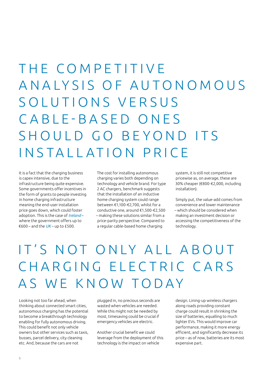### THE COMPETITIVE A N A L Y S I S O F A U T O N O M O U S SOLUTIONS VERSUS CABLE-BASED ONES SHOULD GO BEYOND ITS INSTALLATION PRICE

It is a fact that the charging business is capex intensive, due to the infrastructure being quite expensive. Some governments offer incentives in the form of grants to people investing in home charging infrastructure meaning the end-user installation price goes down, which could foster adoption. This is the case of *[Ireland](https://www.seai.ie/grants/electric-vehicle-grants/electric-vehicle-home-charger-grant/)* – where the government offers up to €600 – and the *[UK](https://www.gov.uk/government/collections/government-grants-for-low-emission-vehicles)* – up to £500.

The cost for installing autonomous charging varies both depending on technology and vehicle brand. For type 2 AC chargers, benchmark suggests that the installation of an inductive home charging system could range between €1,100-€2,700, whilst for a conductive one, around €1,500-€2,500 – making these solutions similar from a price-parity perspective. Compared to a regular cable-based home charging

system, it is still not competitive pricewise as, on average, these are 30% cheaper (€800-€2,000, including installation).

Simply put, the value-add comes from convenience and lower maintenance – which should be considered when making an investment decision or accessing the competitiveness of the technology.

### IT'S NOT ONLY ALL ABOUT CHARGING ELECTRIC CARS AS WE KNOW TODAY

Looking not too far ahead, when thinking about connected smart cities, autonomous charging has the potential to become a breakthrough technology enabling for fully autonomous driving. This could benefit not only vehicle owners but other services such as taxis, busses, parcel delivery, city cleaning etc. And, because the cars are not

plugged in, no precious seconds are wasted when vehicles are needed. While this might not be needed by most, timesaving could be crucial if emergency vehicles are electric.

Another crucial benefit we could leverage from the deployment of this technology is the impact on vehicle

design. Lining-up wireless chargers along roads providing constant charge could result in shrinking the size of batteries, equalling to much lighter EVs. This would improve car performance, making it more energy efficient, and significantly decrease its price – as of now, batteries are its most expensive part.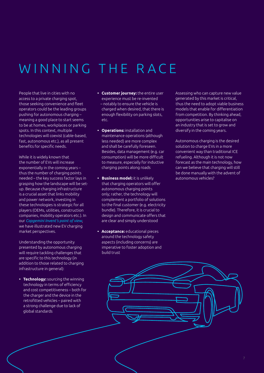### WINNING THE RACE

People that live in cities with no access to a private charging spot, those seeking convenience and fleet operators could be the leading groups pushing for autonomous charging – meaning a good place to start seems to be at homes, workplaces or parking spots. In this context, multiple technologies will coexist (cable-based, fast, autonomous etc.), as all present benefits for specific needs.

While it is widely known that the number of EVs will increase exponentially in the coming years – thus the number of charging points needed – the key success factor lays in grasping how the landscape will be setup. Because charging infrastructure is a crucial asset that links mobility and power network, investing in these technologies is strategic for all players (OEMs, utilities, construction companies, mobility operators etc.). In our *[Capgemini Invent's point of view](https://www.capgemini.com/resources/e-mobility-of-tomorrow/)*, we have illustrated new EV charging market perspectives.

Understanding the opportunity presented by autonomous charging will require tackling challenges that are specific to this technology (in addition to those related to charging infrastructure in general):

**• Technology:** sourcing the winning technology in terms of efficiency and cost competitiveness – both for the charger and the device in the retrofitted vehicles – paired with a strong challenge due to lack of global standards

- **• Customer journey:** the entire user experience must be re-invented – notably to ensure the vehicle is charged when desired, that there is enough flexibility on parking slots, etc.
- **• Operations:** installation and maintenance operations (although less needed) are more complex and shall be carefully foreseen. Besides, data management (e.g. car consumption) will be more difficult to measure, especially for inductive charging points along roads
- **• Business model:** it is unlikely that charging operators will offer autonomous charging points only; rather, the technology will complement a portfolio of solutions to the final customer (e.g. electricity bundle). Therefore, it is crucial to design and communicate offers that are clear and simply understood
- **• Acceptance:** educational pieces around the technology safety aspects (including concerns) are imperative to foster adoption and build trust

Assessing who can capture new value generated by this market is critical, thus the need to adopt viable business models that enable for differentiation from competition. By thinking ahead, opportunities arise to capitalise on an industry that is set to grow and diversify in the coming years.

Autonomous charging is the desired solution to charge EVs in a more convenient way than traditional ICE refueling. Although it is not now forecast as the main technology, how can we believe that charging will still be done manually with the advent of autonomous vehicles?